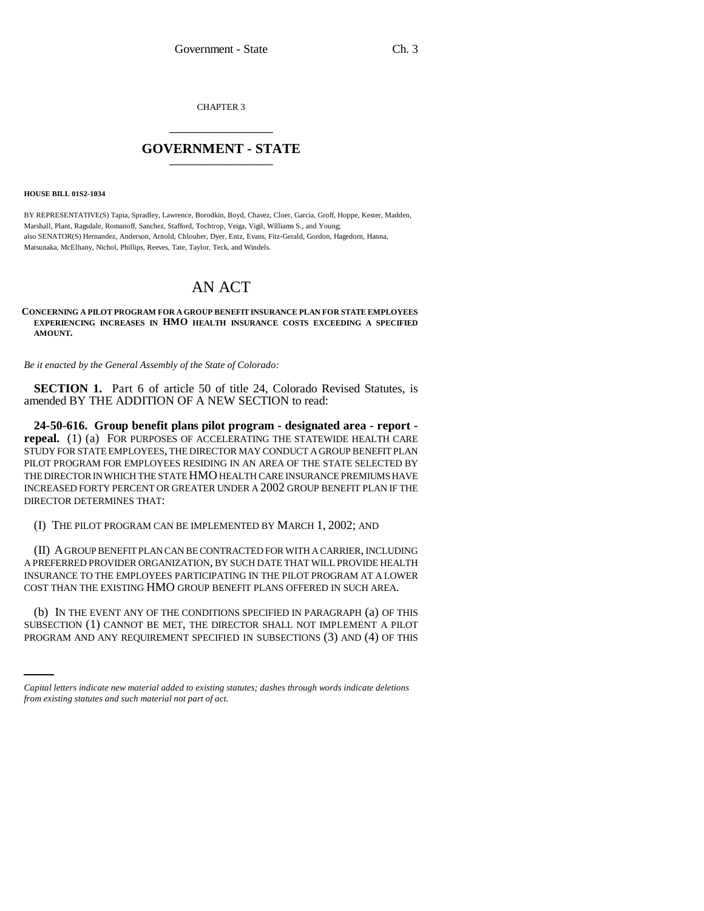CHAPTER 3 \_\_\_\_\_\_\_\_\_\_\_\_\_\_\_

## **GOVERNMENT - STATE** \_\_\_\_\_\_\_\_\_\_\_\_\_\_\_

## **HOUSE BILL 01S2-1034**

BY REPRESENTATIVE(S) Tapia, Spradley, Lawrence, Borodkin, Boyd, Chavez, Cloer, Garcia, Groff, Hoppe, Kester, Madden, Marshall, Plant, Ragsdale, Romanoff, Sanchez, Stafford, Tochtrop, Veiga, Vigil, Williams S., and Young; also SENATOR(S) Hernandez, Anderson, Arnold, Chlouber, Dyer, Entz, Evans, Fitz-Gerald, Gordon, Hagedorn, Hanna, Matsunaka, McElhany, Nichol, Phillips, Reeves, Tate, Taylor, Teck, and Windels.

## AN ACT

## **CONCERNING A PILOT PROGRAM FOR A GROUP BENEFIT INSURANCE PLAN FOR STATE EMPLOYEES EXPERIENCING INCREASES IN HMO HEALTH INSURANCE COSTS EXCEEDING A SPECIFIED AMOUNT.**

*Be it enacted by the General Assembly of the State of Colorado:*

**SECTION 1.** Part 6 of article 50 of title 24, Colorado Revised Statutes, is amended BY THE ADDITION OF A NEW SECTION to read:

**24-50-616. Group benefit plans pilot program - designated area - report repeal.** (1) (a) FOR PURPOSES OF ACCELERATING THE STATEWIDE HEALTH CARE STUDY FOR STATE EMPLOYEES, THE DIRECTOR MAY CONDUCT A GROUP BENEFIT PLAN PILOT PROGRAM FOR EMPLOYEES RESIDING IN AN AREA OF THE STATE SELECTED BY THE DIRECTOR IN WHICH THE STATE HMO HEALTH CARE INSURANCE PREMIUMS HAVE INCREASED FORTY PERCENT OR GREATER UNDER A 2002 GROUP BENEFIT PLAN IF THE DIRECTOR DETERMINES THAT:

(I) THE PILOT PROGRAM CAN BE IMPLEMENTED BY MARCH 1, 2002; AND

(II) A GROUP BENEFIT PLAN CAN BE CONTRACTED FOR WITH A CARRIER, INCLUDING A PREFERRED PROVIDER ORGANIZATION, BY SUCH DATE THAT WILL PROVIDE HEALTH INSURANCE TO THE EMPLOYEES PARTICIPATING IN THE PILOT PROGRAM AT A LOWER COST THAN THE EXISTING HMO GROUP BENEFIT PLANS OFFERED IN SUCH AREA.

(b) IN THE EVENT ANY OF THE CONDITIONS SPECIFIED IN PARAGRAPH  $(a)$  OF THIS SUBSECTION (1) CANNOT BE MET, THE DIRECTOR SHALL NOT IMPLEMENT A PILOT PROGRAM AND ANY REQUIREMENT SPECIFIED IN SUBSECTIONS (3) AND (4) OF THIS

*Capital letters indicate new material added to existing statutes; dashes through words indicate deletions from existing statutes and such material not part of act.*